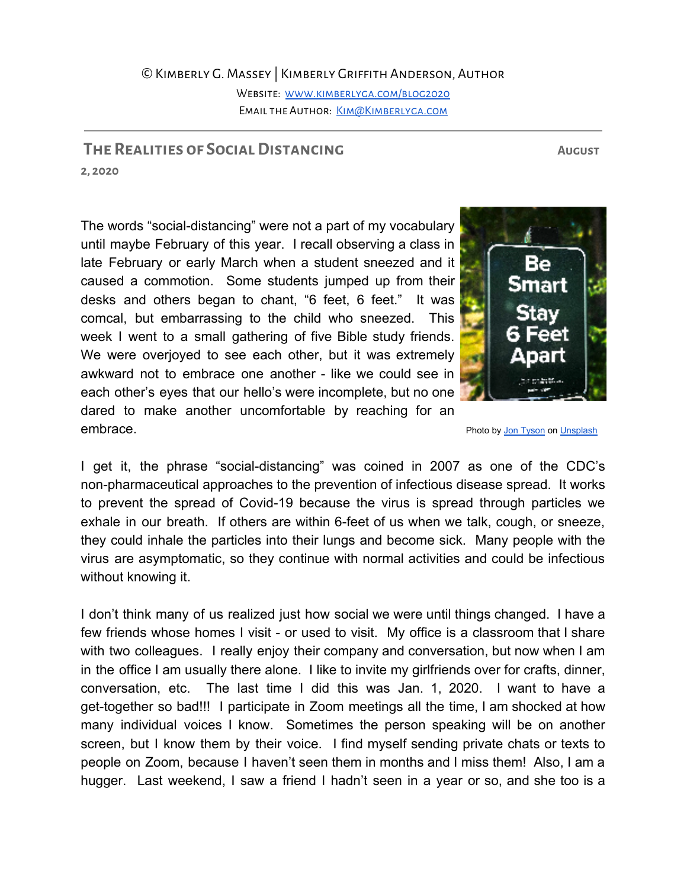## ©Kimberly G. Massey | Kimberly Griffith Anderson, Author

WEBSITE: WWW.KIMBERLYGA.COM/BLOG2020 EMAIL THE AUTHOR: KIM@KIMBERLYGA.COM

## **The Realities of SocialDistancing August**

**2, 2020**

without knowing it.

The words "social-distancing" were not a part of my vocabulary until maybe February of this year. I recall observing a class in late February or early March when a student sneezed and it caused a commotion. Some students jumped up from their desks and others began to chant, "6 feet, 6 feet." It was comcal, but embarrassing to the child who sneezed. This week I went to a small gathering of five Bible study friends. We were overjoyed to see each other, but it was extremely awkward not to embrace one another - like we could see in each other's eyes that our hello's were incomplete, but no one dared to make another uncomfortable by reaching for an

embrace. **Photo by Jon [Tyson](https://unsplash.com/@jontyson?utm_source=unsplash&utm_medium=referral&utm_content=creditCopyText) on [Unsplash](https://unsplash.com/s/photos/social-distancing?utm_source=unsplash&utm_medium=referral&utm_content=creditCopyText)** I get it, the phrase "social-distancing" was coined in 2007 as one of the CDC's non-pharmaceutical approaches to the prevention of infectious disease spread. It works to prevent the spread of Covid-19 because the virus is spread through particles we exhale in our breath. If others are within 6-feet of us when we talk, cough, or sneeze, they could inhale the particles into their lungs and become sick. Many people with the

I don't think many of us realized just how social we were until things changed. I have a few friends whose homes I visit - or used to visit. My office is a classroom that I share with two colleagues. I really enjoy their company and conversation, but now when I am in the office I am usually there alone. I like to invite my girlfriends over for crafts, dinner, conversation, etc. The last time I did this was Jan. 1, 2020. I want to have a get-together so bad!!! I participate in Zoom meetings all the time, I am shocked at how many individual voices I know. Sometimes the person speaking will be on another screen, but I know them by their voice. I find myself sending private chats or texts to people on Zoom, because I haven't seen them in months and I miss them! Also, I am a hugger. Last weekend, I saw a friend I hadn't seen in a year or so, and she too is a

virus are asymptomatic, so they continue with normal activities and could be infectious